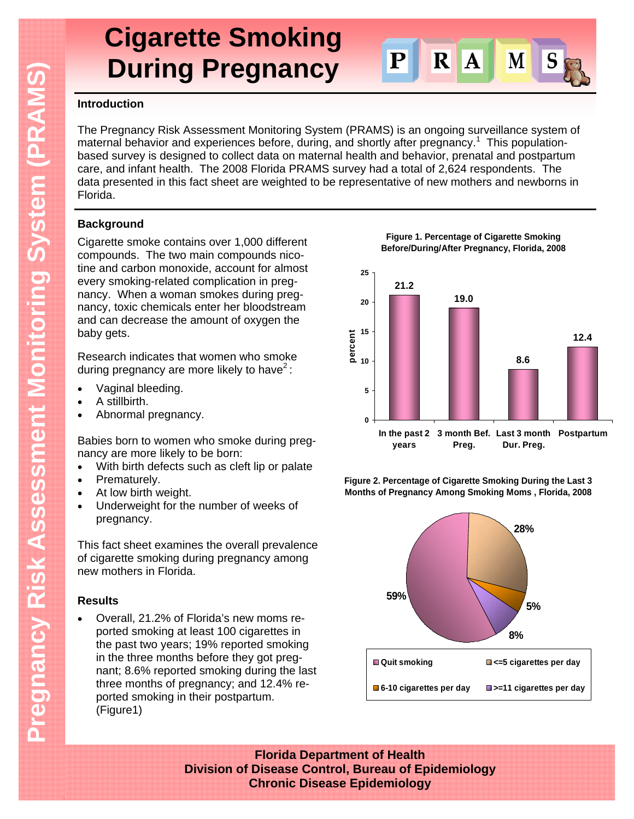# **Cigarette Smoking During Pregnancy**



### **Introduction**

The Pregnancy Risk Assessment Monitoring System (PRAMS) is an ongoing surveillance system of maternal behavior and experiences before, during, and shortly after pregnancy.<sup>1</sup> This populationbased survey is designed to collect data on maternal health and behavior, prenatal and postpartum care, and infant health. The 2008 Florida PRAMS survey had a total of 2,624 respondents. The data presented in this fact sheet are weighted to be representative of new mothers and newborns in Florida.

# **Background**

Cigarette smoke contains over 1,000 different compounds. The two main compounds nicotine and carbon monoxide, account for almost every smoking-related complication in pregnancy. When a woman smokes during pregnancy, toxic chemicals enter her bloodstream and can decrease the amount of oxygen the baby gets.

Research indicates that women who smoke during pregnancy are more likely to have<sup>2</sup>:

- Vaginal bleeding.
- A stillbirth.
- Abnormal pregnancy.

Babies born to women who smoke during pregnancy are more likely to be born:

- With birth defects such as cleft lip or palate
- Prematurely.
- At low birth weight.
- Underweight for the number of weeks of pregnancy.

This fact sheet examines the overall prevalence of cigarette smoking during pregnancy among new mothers in Florida.

# **Results**

 Overall, 21.2% of Florida's new moms reported smoking at least 100 cigarettes in the past two years; 19% reported smoking in the three months before they got pregnant; 8.6% reported smoking during the last three months of pregnancy; and 12.4% reported smoking in their postpartum. (Figure1)

**Figure 1. Percentage of Cigarette Smoking Before/During/After Pregnancy, Florida, 2008**



**Figure 2. Percentage of Cigarette Smoking During the Last 3 Months of Pregnancy Among Smoking Moms , Florida, 2008**



**Florida Department of Health Division of Disease Control, Bureau of Epidemiology Chronic Disease Epidemiology**